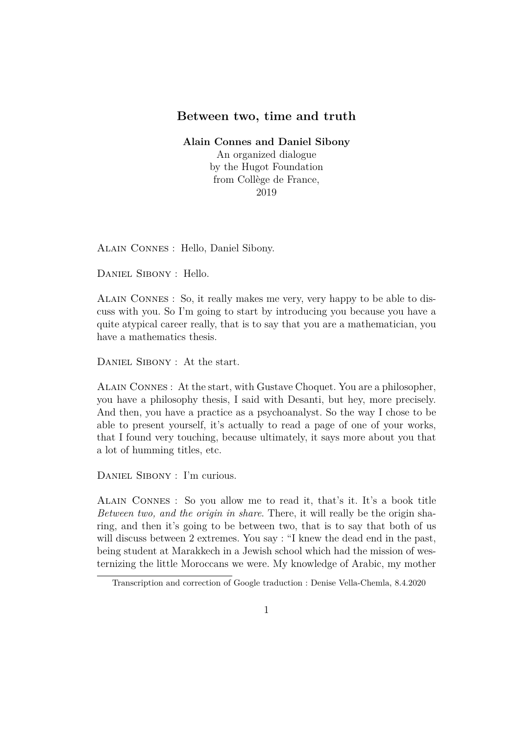## **Between two, time and truth**

**Alain Connes and Daniel Sibony**

An organized dialogue by the Hugot Foundation from Collège de France, 2019

Alain Connes : Hello, Daniel Sibony.

Daniel Sibony : Hello.

Alain Connes : So, it really makes me very, very happy to be able to discuss with you. So I'm going to start by introducing you because you have a quite atypical career really, that is to say that you are a mathematician, you have a mathematics thesis.

DANIEL SIBONY : At the start.

Alain Connes : At the start, with Gustave Choquet. You are a philosopher, you have a philosophy thesis, I said with Desanti, but hey, more precisely. And then, you have a practice as a psychoanalyst. So the way I chose to be able to present yourself, it's actually to read a page of one of your works, that I found very touching, because ultimately, it says more about you that a lot of humming titles, etc.

DANIEL SIBONY : I'm curious.

Alain Connes : So you allow me to read it, that's it. It's a book title *Between two, and the origin in share*. There, it will really be the origin sharing, and then it's going to be between two, that is to say that both of us will discuss between 2 extremes. You say : "I knew the dead end in the past, being student at Marakkech in a Jewish school which had the mission of westernizing the little Moroccans we were. My knowledge of Arabic, my mother

Transcription and correction of Google traduction : Denise Vella-Chemla, 8.4.2020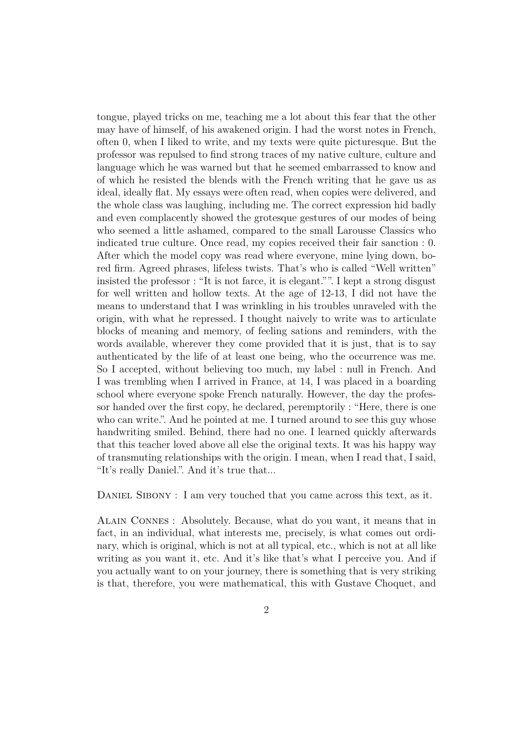tongue, played tricks on me, teaching me a lot about this fear that the other may have of himself, of his awakened origin. I had the worst notes in French, often 0, when I liked to write, and my texts were quite picturesque. But the professor was repulsed to find strong traces of my native culture, culture and language which he was warned but that he seemed embarrassed to know and of which he resisted the blends with the French writing that he gave us as ideal, ideally flat. My essays were often read, when copies were delivered, and the whole class was laughing, including me. The correct expression hid badly and even complacently showed the grotesque gestures of our modes of being who seemed a little ashamed, compared to the small Larousse Classics who indicated true culture. Once read, my copies received their fair sanction : 0. After which the model copy was read where everyone, mine lying down, bored firm. Agreed phrases, lifeless twists. That's who is called "Well written" insisted the professor : "It is not farce, it is elegant."". I kept a strong disgust for well written and hollow texts. At the age of 12-13, I did not have the means to understand that I was wrinkling in his troubles unraveled with the origin, with what he repressed. I thought naively to write was to articulate blocks of meaning and memory, of feeling sations and reminders, with the words available, wherever they come provided that it is just, that is to say authenticated by the life of at least one being, who the occurrence was me. So I accepted, without believing too much, my label : null in French. And I was trembling when I arrived in France, at 14, I was placed in a boarding school where everyone spoke French naturally. However, the day the professor handed over the first copy, he declared, peremptorily : "Here, there is one who can write.". And he pointed at me. I turned around to see this guy whose handwriting smiled. Behind, there had no one. I learned quickly afterwards that this teacher loved above all else the original texts. It was his happy way of transmuting relationships with the origin. I mean, when I read that, I said, "It's really Daniel.". And it's true that...

DANIEL SIBONY : I am very touched that you came across this text, as it.

Alain Connes : Absolutely. Because, what do you want, it means that in fact, in an individual, what interests me, precisely, is what comes out ordinary, which is original, which is not at all typical, etc., which is not at all like writing as you want it, etc. And it's like that's what I perceive you. And if you actually want to on your journey, there is something that is very striking is that, therefore, you were mathematical, this with Gustave Choquet, and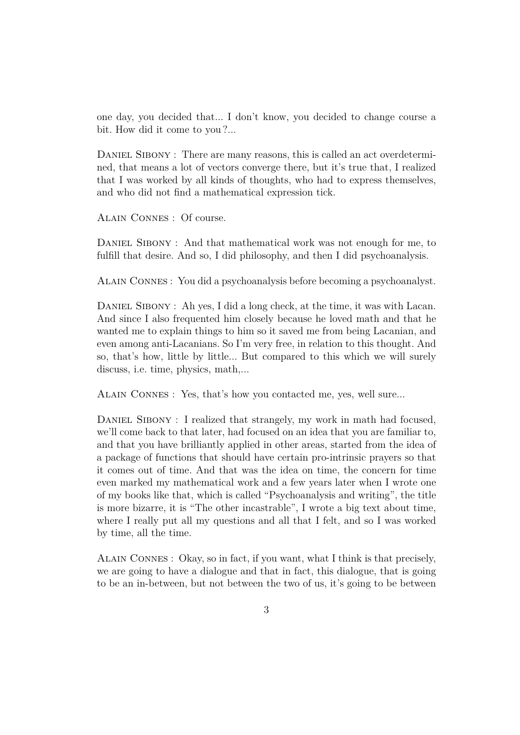one day, you decided that... I don't know, you decided to change course a bit. How did it come to you?...

DANIEL SIBONY : There are many reasons, this is called an act overdetermined, that means a lot of vectors converge there, but it's true that, I realized that I was worked by all kinds of thoughts, who had to express themselves, and who did not find a mathematical expression tick.

Alain Connes : Of course.

DANIEL SIBONY : And that mathematical work was not enough for me, to fulfill that desire. And so, I did philosophy, and then I did psychoanalysis.

Alain Connes : You did a psychoanalysis before becoming a psychoanalyst.

DANIEL SIBONY : Ah yes, I did a long check, at the time, it was with Lacan. And since I also frequented him closely because he loved math and that he wanted me to explain things to him so it saved me from being Lacanian, and even among anti-Lacanians. So I'm very free, in relation to this thought. And so, that's how, little by little... But compared to this which we will surely discuss, i.e. time, physics, math,...

Alain Connes : Yes, that's how you contacted me, yes, well sure...

DANIEL SIBONY : I realized that strangely, my work in math had focused, we'll come back to that later, had focused on an idea that you are familiar to, and that you have brilliantly applied in other areas, started from the idea of a package of functions that should have certain pro-intrinsic prayers so that it comes out of time. And that was the idea on time, the concern for time even marked my mathematical work and a few years later when I wrote one of my books like that, which is called "Psychoanalysis and writing", the title is more bizarre, it is "The other incastrable", I wrote a big text about time, where I really put all my questions and all that I felt, and so I was worked by time, all the time.

Alain Connes : Okay, so in fact, if you want, what I think is that precisely, we are going to have a dialogue and that in fact, this dialogue, that is going to be an in-between, but not between the two of us, it's going to be between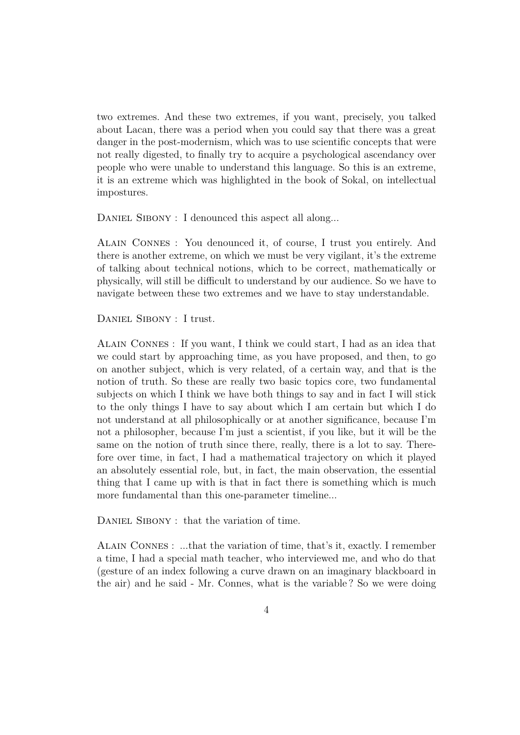two extremes. And these two extremes, if you want, precisely, you talked about Lacan, there was a period when you could say that there was a great danger in the post-modernism, which was to use scientific concepts that were not really digested, to finally try to acquire a psychological ascendancy over people who were unable to understand this language. So this is an extreme, it is an extreme which was highlighted in the book of Sokal, on intellectual impostures.

DANIEL SIBONY : I denounced this aspect all along...

Alain Connes : You denounced it, of course, I trust you entirely. And there is another extreme, on which we must be very vigilant, it's the extreme of talking about technical notions, which to be correct, mathematically or physically, will still be difficult to understand by our audience. So we have to navigate between these two extremes and we have to stay understandable.

DANIEL SIBONY : I trust.

Alain Connes : If you want, I think we could start, I had as an idea that we could start by approaching time, as you have proposed, and then, to go on another subject, which is very related, of a certain way, and that is the notion of truth. So these are really two basic topics core, two fundamental subjects on which I think we have both things to say and in fact I will stick to the only things I have to say about which I am certain but which I do not understand at all philosophically or at another significance, because I'm not a philosopher, because I'm just a scientist, if you like, but it will be the same on the notion of truth since there, really, there is a lot to say. Therefore over time, in fact, I had a mathematical trajectory on which it played an absolutely essential role, but, in fact, the main observation, the essential thing that I came up with is that in fact there is something which is much more fundamental than this one-parameter timeline...

DANIEL SIBONY : that the variation of time.

Alain Connes : ...that the variation of time, that's it, exactly. I remember a time, I had a special math teacher, who interviewed me, and who do that (gesture of an index following a curve drawn on an imaginary blackboard in the air) and he said - Mr. Connes, what is the variable ? So we were doing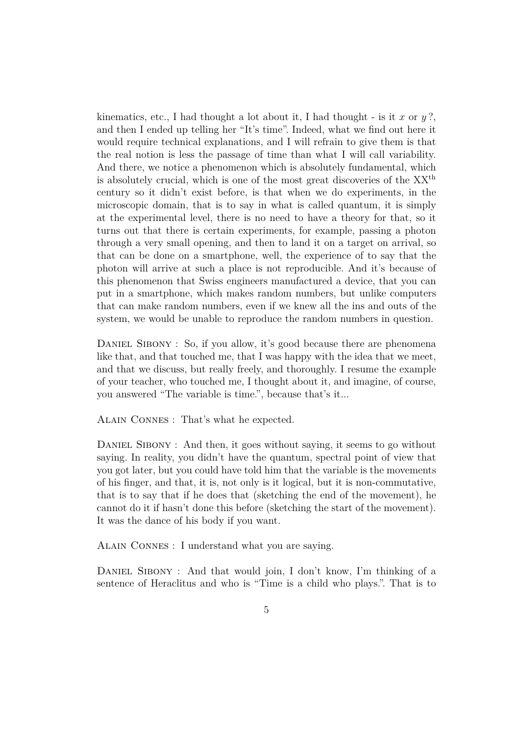kinematics, etc., I had thought a lot about it, I had thought - is it *x* or *y* ?, and then I ended up telling her "It's time". Indeed, what we find out here it would require technical explanations, and I will refrain to give them is that the real notion is less the passage of time than what I will call variability. And there, we notice a phenomenon which is absolutely fundamental, which is absolutely crucial, which is one of the most great discoveries of the  $XX<sup>th</sup>$ century so it didn't exist before, is that when we do experiments, in the microscopic domain, that is to say in what is called quantum, it is simply at the experimental level, there is no need to have a theory for that, so it turns out that there is certain experiments, for example, passing a photon through a very small opening, and then to land it on a target on arrival, so that can be done on a smartphone, well, the experience of to say that the photon will arrive at such a place is not reproducible. And it's because of this phenomenon that Swiss engineers manufactured a device, that you can put in a smartphone, which makes random numbers, but unlike computers that can make random numbers, even if we knew all the ins and outs of the system, we would be unable to reproduce the random numbers in question.

DANIEL SIBONY : So, if you allow, it's good because there are phenomena like that, and that touched me, that I was happy with the idea that we meet, and that we discuss, but really freely, and thoroughly. I resume the example of your teacher, who touched me, I thought about it, and imagine, of course, you answered "The variable is time.", because that's it...

Alain Connes : That's what he expected.

DANIEL SIBONY : And then, it goes without saying, it seems to go without saying. In reality, you didn't have the quantum, spectral point of view that you got later, but you could have told him that the variable is the movements of his finger, and that, it is, not only is it logical, but it is non-commutative, that is to say that if he does that (sketching the end of the movement), he cannot do it if hasn't done this before (sketching the start of the movement). It was the dance of his body if you want.

Alain Connes : I understand what you are saying.

DANIEL SIBONY : And that would join, I don't know, I'm thinking of a sentence of Heraclitus and who is "Time is a child who plays.". That is to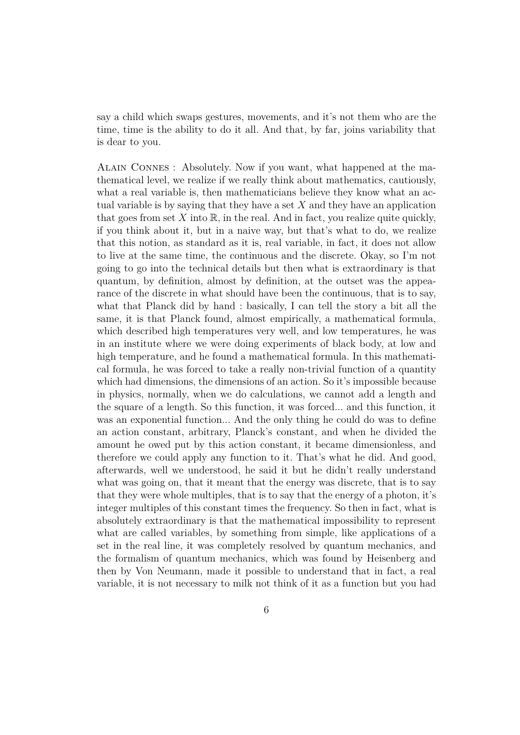say a child which swaps gestures, movements, and it's not them who are the time, time is the ability to do it all. And that, by far, joins variability that is dear to you.

Alain Connes : Absolutely. Now if you want, what happened at the mathematical level, we realize if we really think about mathematics, cautiously, what a real variable is, then mathematicians believe they know what an actual variable is by saying that they have a set *X* and they have an application that goes from set  $X$  into  $\mathbb{R}$ , in the real. And in fact, you realize quite quickly, if you think about it, but in a naive way, but that's what to do, we realize that this notion, as standard as it is, real variable, in fact, it does not allow to live at the same time, the continuous and the discrete. Okay, so I'm not going to go into the technical details but then what is extraordinary is that quantum, by definition, almost by definition, at the outset was the appearance of the discrete in what should have been the continuous, that is to say, what that Planck did by hand : basically, I can tell the story a bit all the same, it is that Planck found, almost empirically, a mathematical formula, which described high temperatures very well, and low temperatures, he was in an institute where we were doing experiments of black body, at low and high temperature, and he found a mathematical formula. In this mathematical formula, he was forced to take a really non-trivial function of a quantity which had dimensions, the dimensions of an action. So it's impossible because in physics, normally, when we do calculations, we cannot add a length and the square of a length. So this function, it was forced... and this function, it was an exponential function... And the only thing he could do was to define an action constant, arbitrary, Planck's constant, and when he divided the amount he owed put by this action constant, it became dimensionless, and therefore we could apply any function to it. That's what he did. And good, afterwards, well we understood, he said it but he didn't really understand what was going on, that it meant that the energy was discrete, that is to say that they were whole multiples, that is to say that the energy of a photon, it's integer multiples of this constant times the frequency. So then in fact, what is absolutely extraordinary is that the mathematical impossibility to represent what are called variables, by something from simple, like applications of a set in the real line, it was completely resolved by quantum mechanics, and the formalism of quantum mechanics, which was found by Heisenberg and then by Von Neumann, made it possible to understand that in fact, a real variable, it is not necessary to milk not think of it as a function but you had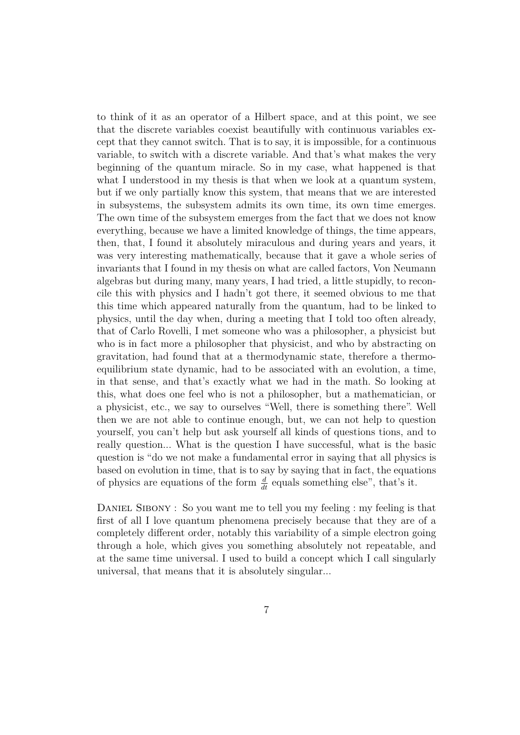to think of it as an operator of a Hilbert space, and at this point, we see that the discrete variables coexist beautifully with continuous variables except that they cannot switch. That is to say, it is impossible, for a continuous variable, to switch with a discrete variable. And that's what makes the very beginning of the quantum miracle. So in my case, what happened is that what I understood in my thesis is that when we look at a quantum system, but if we only partially know this system, that means that we are interested in subsystems, the subsystem admits its own time, its own time emerges. The own time of the subsystem emerges from the fact that we does not know everything, because we have a limited knowledge of things, the time appears, then, that, I found it absolutely miraculous and during years and years, it was very interesting mathematically, because that it gave a whole series of invariants that I found in my thesis on what are called factors, Von Neumann algebras but during many, many years, I had tried, a little stupidly, to reconcile this with physics and I hadn't got there, it seemed obvious to me that this time which appeared naturally from the quantum, had to be linked to physics, until the day when, during a meeting that I told too often already, that of Carlo Rovelli, I met someone who was a philosopher, a physicist but who is in fact more a philosopher that physicist, and who by abstracting on gravitation, had found that at a thermodynamic state, therefore a thermoequilibrium state dynamic, had to be associated with an evolution, a time, in that sense, and that's exactly what we had in the math. So looking at this, what does one feel who is not a philosopher, but a mathematician, or a physicist, etc., we say to ourselves "Well, there is something there". Well then we are not able to continue enough, but, we can not help to question yourself, you can't help but ask yourself all kinds of questions tions, and to really question... What is the question I have successful, what is the basic question is "do we not make a fundamental error in saying that all physics is based on evolution in time, that is to say by saying that in fact, the equations of physics are equations of the form  $\frac{d}{dt}$  equals something else", that's it.

DANIEL SIBONY : So you want me to tell you my feeling : my feeling is that first of all I love quantum phenomena precisely because that they are of a completely different order, notably this variability of a simple electron going through a hole, which gives you something absolutely not repeatable, and at the same time universal. I used to build a concept which I call singularly universal, that means that it is absolutely singular...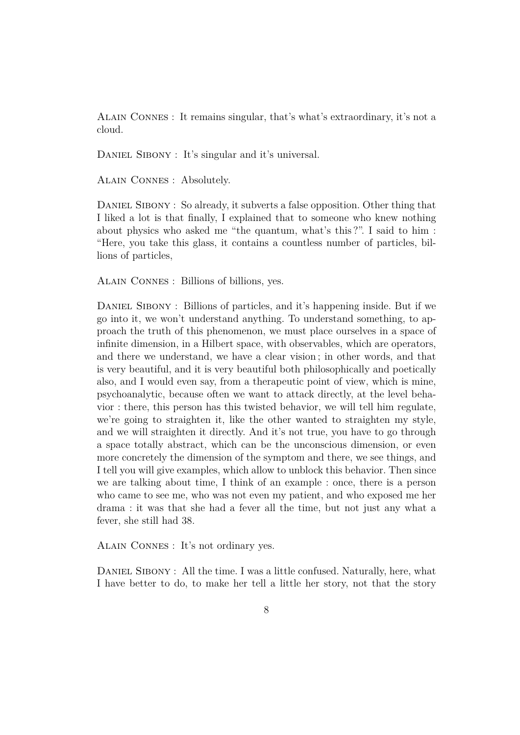Alain Connes : It remains singular, that's what's extraordinary, it's not a cloud.

DANIEL SIBONY : It's singular and it's universal.

Alain Connes : Absolutely.

DANIEL SIBONY : So already, it subverts a false opposition. Other thing that I liked a lot is that finally, I explained that to someone who knew nothing about physics who asked me "the quantum, what's this ?". I said to him : "Here, you take this glass, it contains a countless number of particles, billions of particles,

Alain Connes : Billions of billions, yes.

DANIEL SIBONY : Billions of particles, and it's happening inside. But if we go into it, we won't understand anything. To understand something, to approach the truth of this phenomenon, we must place ourselves in a space of infinite dimension, in a Hilbert space, with observables, which are operators, and there we understand, we have a clear vision ; in other words, and that is very beautiful, and it is very beautiful both philosophically and poetically also, and I would even say, from a therapeutic point of view, which is mine, psychoanalytic, because often we want to attack directly, at the level behavior : there, this person has this twisted behavior, we will tell him regulate, we're going to straighten it, like the other wanted to straighten my style, and we will straighten it directly. And it's not true, you have to go through a space totally abstract, which can be the unconscious dimension, or even more concretely the dimension of the symptom and there, we see things, and I tell you will give examples, which allow to unblock this behavior. Then since we are talking about time, I think of an example : once, there is a person who came to see me, who was not even my patient, and who exposed me her drama : it was that she had a fever all the time, but not just any what a fever, she still had 38.

Alain Connes : It's not ordinary yes.

DANIEL SIBONY : All the time. I was a little confused. Naturally, here, what I have better to do, to make her tell a little her story, not that the story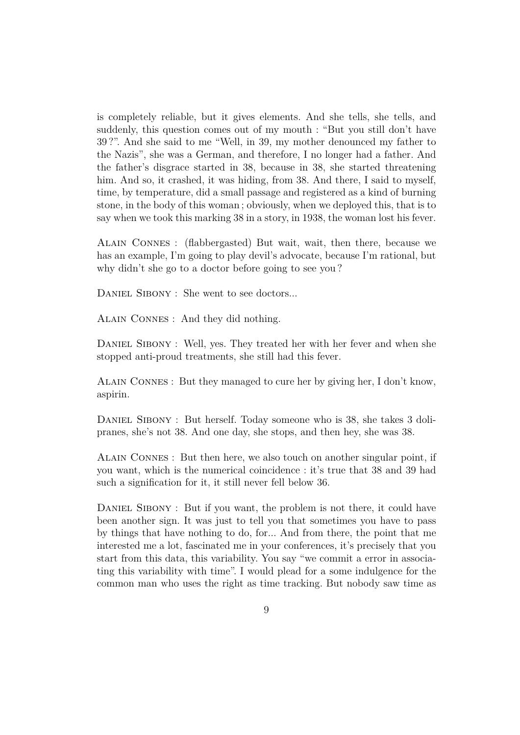is completely reliable, but it gives elements. And she tells, she tells, and suddenly, this question comes out of my mouth : "But you still don't have 39 ?". And she said to me "Well, in 39, my mother denounced my father to the Nazis", she was a German, and therefore, I no longer had a father. And the father's disgrace started in 38, because in 38, she started threatening him. And so, it crashed, it was hiding, from 38. And there, I said to myself, time, by temperature, did a small passage and registered as a kind of burning stone, in the body of this woman ; obviously, when we deployed this, that is to say when we took this marking 38 in a story, in 1938, the woman lost his fever.

Alain Connes : (flabbergasted) But wait, wait, then there, because we has an example, I'm going to play devil's advocate, because I'm rational, but why didn't she go to a doctor before going to see you ?

DANIEL SIBONY : She went to see doctors...

Alain Connes : And they did nothing.

DANIEL SIBONY : Well, yes. They treated her with her fever and when she stopped anti-proud treatments, she still had this fever.

Alain Connes : But they managed to cure her by giving her, I don't know, aspirin.

DANIEL SIBONY : But herself. Today someone who is 38, she takes 3 dolipranes, she's not 38. And one day, she stops, and then hey, she was 38.

Alain Connes : But then here, we also touch on another singular point, if you want, which is the numerical coincidence : it's true that 38 and 39 had such a signification for it, it still never fell below 36.

DANIEL SIBONY : But if you want, the problem is not there, it could have been another sign. It was just to tell you that sometimes you have to pass by things that have nothing to do, for... And from there, the point that me interested me a lot, fascinated me in your conferences, it's precisely that you start from this data, this variability. You say "we commit a error in associating this variability with time". I would plead for a some indulgence for the common man who uses the right as time tracking. But nobody saw time as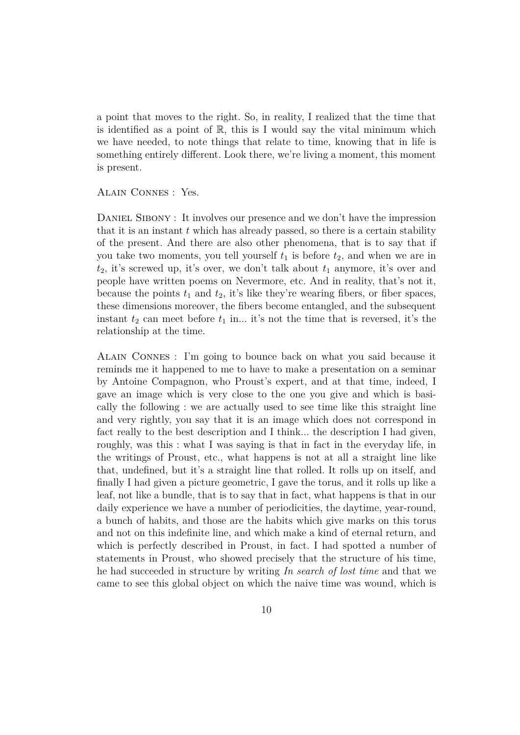a point that moves to the right. So, in reality, I realized that the time that is identified as a point of  $\mathbb{R}$ , this is I would say the vital minimum which we have needed, to note things that relate to time, knowing that in life is something entirely different. Look there, we're living a moment, this moment is present.

Alain Connes : Yes.

DANIEL SIBONY : It involves our presence and we don't have the impression that it is an instant *t* which has already passed, so there is a certain stability of the present. And there are also other phenomena, that is to say that if you take two moments, you tell yourself  $t_1$  is before  $t_2$ , and when we are in  $t_2$ , it's screwed up, it's over, we don't talk about  $t_1$  anymore, it's over and people have written poems on Nevermore, etc. And in reality, that's not it, because the points  $t_1$  and  $t_2$ , it's like they're wearing fibers, or fiber spaces, these dimensions moreover, the fibers become entangled, and the subsequent instant  $t_2$  can meet before  $t_1$  in... it's not the time that is reversed, it's the relationship at the time.

Alain Connes : I'm going to bounce back on what you said because it reminds me it happened to me to have to make a presentation on a seminar by Antoine Compagnon, who Proust's expert, and at that time, indeed, I gave an image which is very close to the one you give and which is basically the following : we are actually used to see time like this straight line and very rightly, you say that it is an image which does not correspond in fact really to the best description and I think... the description I had given, roughly, was this : what I was saying is that in fact in the everyday life, in the writings of Proust, etc., what happens is not at all a straight line like that, undefined, but it's a straight line that rolled. It rolls up on itself, and finally I had given a picture geometric, I gave the torus, and it rolls up like a leaf, not like a bundle, that is to say that in fact, what happens is that in our daily experience we have a number of periodicities, the daytime, year-round, a bunch of habits, and those are the habits which give marks on this torus and not on this indefinite line, and which make a kind of eternal return, and which is perfectly described in Proust, in fact. I had spotted a number of statements in Proust, who showed precisely that the structure of his time, he had succeeded in structure by writing *In search of lost time* and that we came to see this global object on which the naive time was wound, which is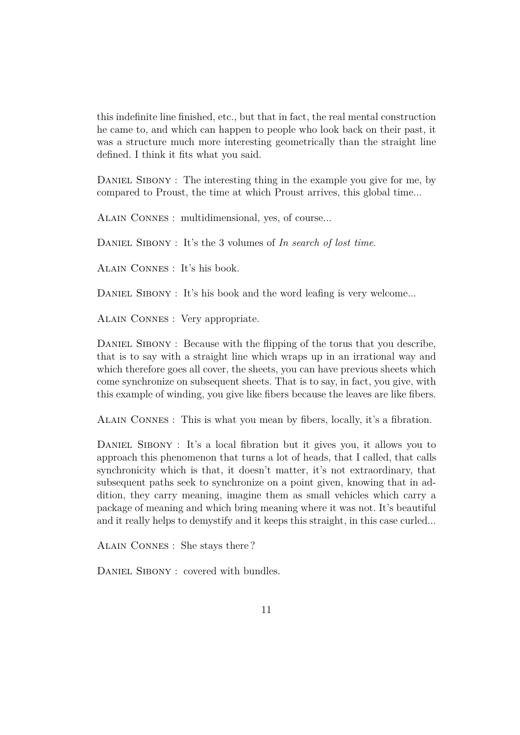this indefinite line finished, etc., but that in fact, the real mental construction he came to, and which can happen to people who look back on their past, it was a structure much more interesting geometrically than the straight line defined. I think it fits what you said.

DANIEL SIBONY : The interesting thing in the example you give for me, by compared to Proust, the time at which Proust arrives, this global time...

Alain Connes : multidimensional, yes, of course...

Daniel Sibony : It's the 3 volumes of *In search of lost time*.

Alain Connes : It's his book.

DANIEL SIBONY : It's his book and the word leafing is very welcome...

Alain Connes : Very appropriate.

DANIEL SIBONY : Because with the flipping of the torus that you describe, that is to say with a straight line which wraps up in an irrational way and which therefore goes all cover, the sheets, you can have previous sheets which come synchronize on subsequent sheets. That is to say, in fact, you give, with this example of winding, you give like fibers because the leaves are like fibers.

Alain Connes : This is what you mean by fibers, locally, it's a fibration.

DANIEL SIBONY : It's a local fibration but it gives you, it allows you to approach this phenomenon that turns a lot of heads, that I called, that calls synchronicity which is that, it doesn't matter, it's not extraordinary, that subsequent paths seek to synchronize on a point given, knowing that in addition, they carry meaning, imagine them as small vehicles which carry a package of meaning and which bring meaning where it was not. It's beautiful and it really helps to demystify and it keeps this straight, in this case curled...

Alain Connes : She stays there ?

DANIEL SIBONY : covered with bundles.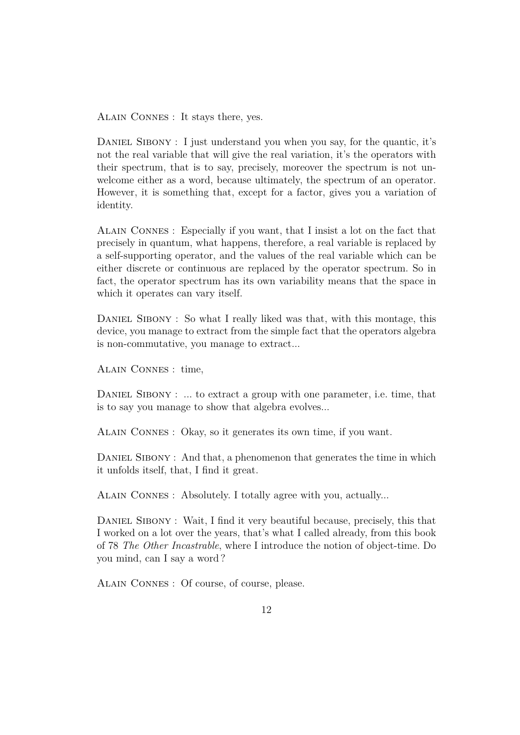Alain Connes : It stays there, yes.

DANIEL SIBONY : I just understand you when you say, for the quantic, it's not the real variable that will give the real variation, it's the operators with their spectrum, that is to say, precisely, moreover the spectrum is not unwelcome either as a word, because ultimately, the spectrum of an operator. However, it is something that, except for a factor, gives you a variation of identity.

Alain Connes : Especially if you want, that I insist a lot on the fact that precisely in quantum, what happens, therefore, a real variable is replaced by a self-supporting operator, and the values of the real variable which can be either discrete or continuous are replaced by the operator spectrum. So in fact, the operator spectrum has its own variability means that the space in which it operates can vary itself.

DANIEL SIBONY : So what I really liked was that, with this montage, this device, you manage to extract from the simple fact that the operators algebra is non-commutative, you manage to extract...

Alain Connes : time,

DANIEL SIBONY : ... to extract a group with one parameter, i.e. time, that is to say you manage to show that algebra evolves...

Alain Connes : Okay, so it generates its own time, if you want.

DANIEL SIBONY : And that, a phenomenon that generates the time in which it unfolds itself, that, I find it great.

Alain Connes : Absolutely. I totally agree with you, actually...

DANIEL SIBONY : Wait, I find it very beautiful because, precisely, this that I worked on a lot over the years, that's what I called already, from this book of 78 *The Other Incastrable*, where I introduce the notion of object-time. Do you mind, can I say a word ?

Alain Connes : Of course, of course, please.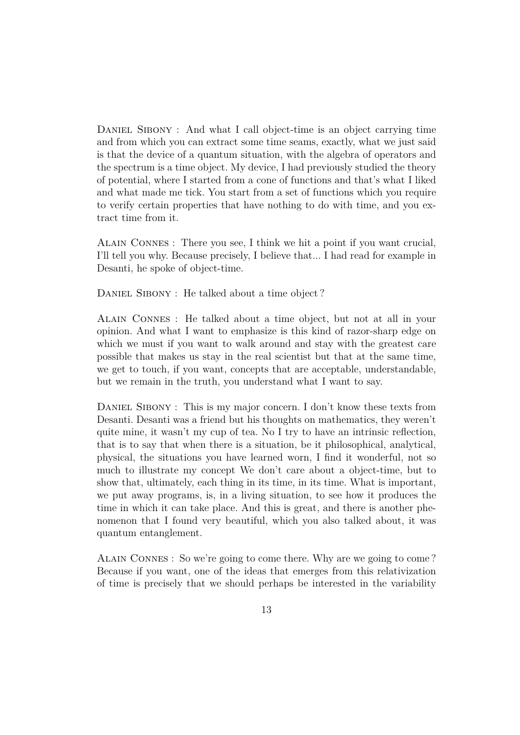DANIEL SIBONY : And what I call object-time is an object carrying time and from which you can extract some time seams, exactly, what we just said is that the device of a quantum situation, with the algebra of operators and the spectrum is a time object. My device, I had previously studied the theory of potential, where I started from a cone of functions and that's what I liked and what made me tick. You start from a set of functions which you require to verify certain properties that have nothing to do with time, and you extract time from it.

Alain Connes : There you see, I think we hit a point if you want crucial, I'll tell you why. Because precisely, I believe that... I had read for example in Desanti, he spoke of object-time.

DANIEL SIBONY : He talked about a time object?

Alain Connes : He talked about a time object, but not at all in your opinion. And what I want to emphasize is this kind of razor-sharp edge on which we must if you want to walk around and stay with the greatest care possible that makes us stay in the real scientist but that at the same time, we get to touch, if you want, concepts that are acceptable, understandable, but we remain in the truth, you understand what I want to say.

DANIEL SIBONY : This is my major concern. I don't know these texts from Desanti. Desanti was a friend but his thoughts on mathematics, they weren't quite mine, it wasn't my cup of tea. No I try to have an intrinsic reflection, that is to say that when there is a situation, be it philosophical, analytical, physical, the situations you have learned worn, I find it wonderful, not so much to illustrate my concept We don't care about a object-time, but to show that, ultimately, each thing in its time, in its time. What is important, we put away programs, is, in a living situation, to see how it produces the time in which it can take place. And this is great, and there is another phenomenon that I found very beautiful, which you also talked about, it was quantum entanglement.

Alain Connes : So we're going to come there. Why are we going to come ? Because if you want, one of the ideas that emerges from this relativization of time is precisely that we should perhaps be interested in the variability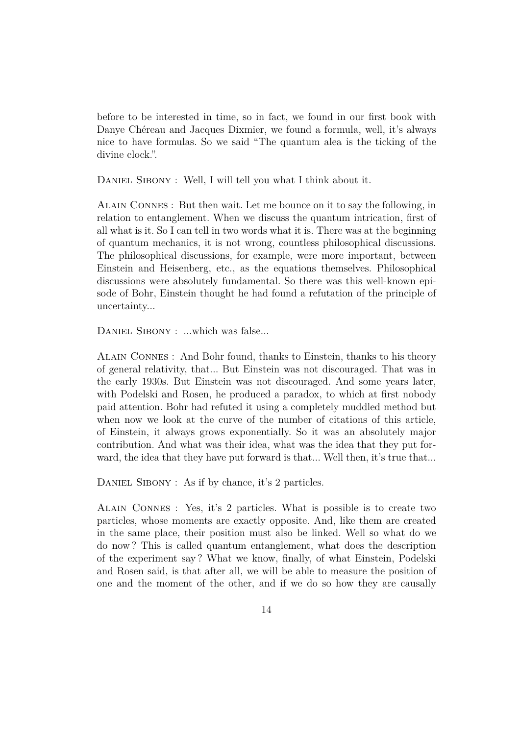before to be interested in time, so in fact, we found in our first book with Danye Chéreau and Jacques Dixmier, we found a formula, well, it's always nice to have formulas. So we said "The quantum alea is the ticking of the divine clock.".

DANIEL SIBONY : Well, I will tell you what I think about it.

Alain Connes : But then wait. Let me bounce on it to say the following, in relation to entanglement. When we discuss the quantum intrication, first of all what is it. So I can tell in two words what it is. There was at the beginning of quantum mechanics, it is not wrong, countless philosophical discussions. The philosophical discussions, for example, were more important, between Einstein and Heisenberg, etc., as the equations themselves. Philosophical discussions were absolutely fundamental. So there was this well-known episode of Bohr, Einstein thought he had found a refutation of the principle of uncertainty...

DANIEL SIBONY : ...which was false...

Alain Connes : And Bohr found, thanks to Einstein, thanks to his theory of general relativity, that... But Einstein was not discouraged. That was in the early 1930s. But Einstein was not discouraged. And some years later, with Podelski and Rosen, he produced a paradox, to which at first nobody paid attention. Bohr had refuted it using a completely muddled method but when now we look at the curve of the number of citations of this article, of Einstein, it always grows exponentially. So it was an absolutely major contribution. And what was their idea, what was the idea that they put forward, the idea that they have put forward is that... Well then, it's true that...

DANIEL SIBONY : As if by chance, it's 2 particles.

Alain Connes : Yes, it's 2 particles. What is possible is to create two particles, whose moments are exactly opposite. And, like them are created in the same place, their position must also be linked. Well so what do we do now ? This is called quantum entanglement, what does the description of the experiment say ? What we know, finally, of what Einstein, Podelski and Rosen said, is that after all, we will be able to measure the position of one and the moment of the other, and if we do so how they are causally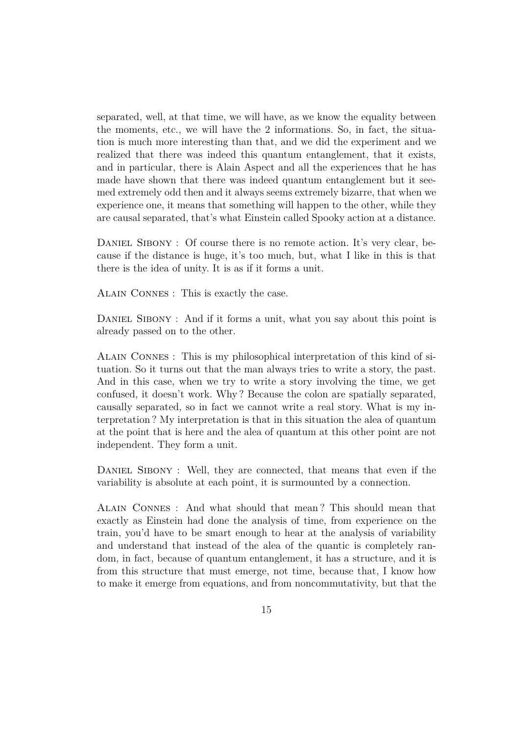separated, well, at that time, we will have, as we know the equality between the moments, etc., we will have the 2 informations. So, in fact, the situation is much more interesting than that, and we did the experiment and we realized that there was indeed this quantum entanglement, that it exists, and in particular, there is Alain Aspect and all the experiences that he has made have shown that there was indeed quantum entanglement but it seemed extremely odd then and it always seems extremely bizarre, that when we experience one, it means that something will happen to the other, while they are causal separated, that's what Einstein called Spooky action at a distance.

DANIEL SIBONY : Of course there is no remote action. It's very clear, because if the distance is huge, it's too much, but, what I like in this is that there is the idea of unity. It is as if it forms a unit.

Alain Connes : This is exactly the case.

DANIEL SIBONY : And if it forms a unit, what you say about this point is already passed on to the other.

Alain Connes : This is my philosophical interpretation of this kind of situation. So it turns out that the man always tries to write a story, the past. And in this case, when we try to write a story involving the time, we get confused, it doesn't work. Why ? Because the colon are spatially separated, causally separated, so in fact we cannot write a real story. What is my interpretation ? My interpretation is that in this situation the alea of quantum at the point that is here and the alea of quantum at this other point are not independent. They form a unit.

DANIEL SIBONY : Well, they are connected, that means that even if the variability is absolute at each point, it is surmounted by a connection.

Alain Connes : And what should that mean ? This should mean that exactly as Einstein had done the analysis of time, from experience on the train, you'd have to be smart enough to hear at the analysis of variability and understand that instead of the alea of the quantic is completely random, in fact, because of quantum entanglement, it has a structure, and it is from this structure that must emerge, not time, because that, I know how to make it emerge from equations, and from noncommutativity, but that the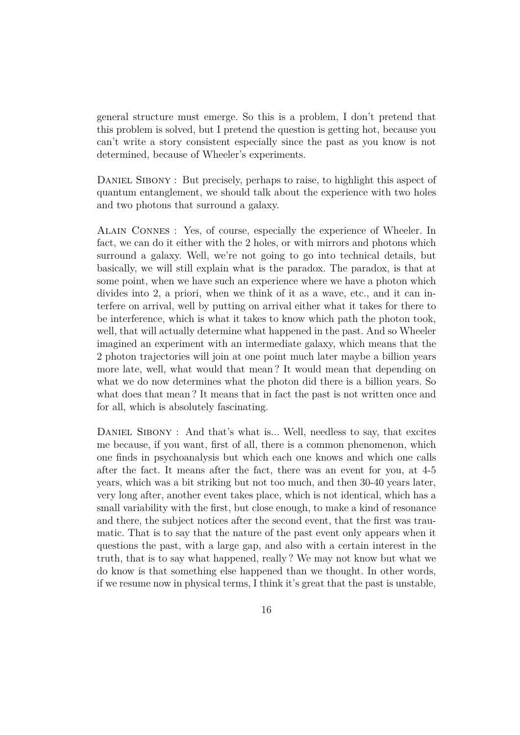general structure must emerge. So this is a problem, I don't pretend that this problem is solved, but I pretend the question is getting hot, because you can't write a story consistent especially since the past as you know is not determined, because of Wheeler's experiments.

DANIEL SIBONY : But precisely, perhaps to raise, to highlight this aspect of quantum entanglement, we should talk about the experience with two holes and two photons that surround a galaxy.

Alain Connes : Yes, of course, especially the experience of Wheeler. In fact, we can do it either with the 2 holes, or with mirrors and photons which surround a galaxy. Well, we're not going to go into technical details, but basically, we will still explain what is the paradox. The paradox, is that at some point, when we have such an experience where we have a photon which divides into 2, a priori, when we think of it as a wave, etc., and it can interfere on arrival, well by putting on arrival either what it takes for there to be interference, which is what it takes to know which path the photon took, well, that will actually determine what happened in the past. And so Wheeler imagined an experiment with an intermediate galaxy, which means that the 2 photon trajectories will join at one point much later maybe a billion years more late, well, what would that mean ? It would mean that depending on what we do now determines what the photon did there is a billion years. So what does that mean ? It means that in fact the past is not written once and for all, which is absolutely fascinating.

DANIEL SIBONY : And that's what is... Well, needless to say, that excites me because, if you want, first of all, there is a common phenomenon, which one finds in psychoanalysis but which each one knows and which one calls after the fact. It means after the fact, there was an event for you, at 4-5 years, which was a bit striking but not too much, and then 30-40 years later, very long after, another event takes place, which is not identical, which has a small variability with the first, but close enough, to make a kind of resonance and there, the subject notices after the second event, that the first was traumatic. That is to say that the nature of the past event only appears when it questions the past, with a large gap, and also with a certain interest in the truth, that is to say what happened, really ? We may not know but what we do know is that something else happened than we thought. In other words, if we resume now in physical terms, I think it's great that the past is unstable,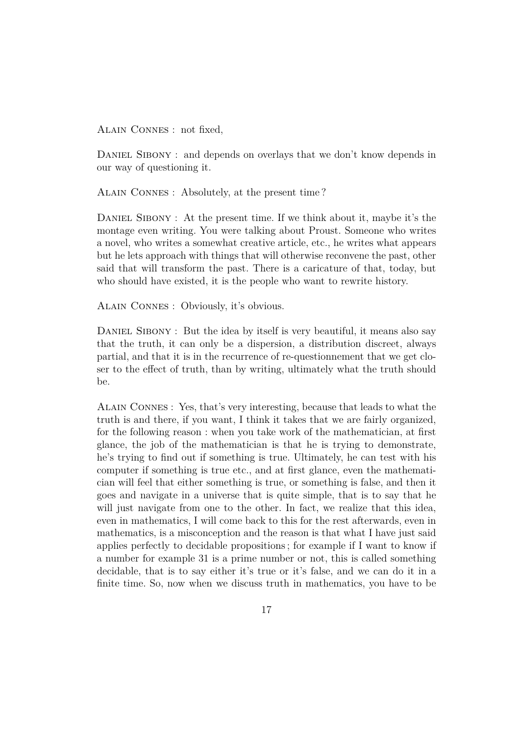Alain Connes : not fixed,

DANIEL SIBONY : and depends on overlays that we don't know depends in our way of questioning it.

Alain Connes : Absolutely, at the present time ?

DANIEL SIBONY: At the present time. If we think about it, maybe it's the montage even writing. You were talking about Proust. Someone who writes a novel, who writes a somewhat creative article, etc., he writes what appears but he lets approach with things that will otherwise reconvene the past, other said that will transform the past. There is a caricature of that, today, but who should have existed, it is the people who want to rewrite history.

Alain Connes : Obviously, it's obvious.

DANIEL SIBONY : But the idea by itself is very beautiful, it means also say that the truth, it can only be a dispersion, a distribution discreet, always partial, and that it is in the recurrence of re-questionnement that we get closer to the effect of truth, than by writing, ultimately what the truth should be.

Alain Connes : Yes, that's very interesting, because that leads to what the truth is and there, if you want, I think it takes that we are fairly organized, for the following reason : when you take work of the mathematician, at first glance, the job of the mathematician is that he is trying to demonstrate, he's trying to find out if something is true. Ultimately, he can test with his computer if something is true etc., and at first glance, even the mathematician will feel that either something is true, or something is false, and then it goes and navigate in a universe that is quite simple, that is to say that he will just navigate from one to the other. In fact, we realize that this idea, even in mathematics, I will come back to this for the rest afterwards, even in mathematics, is a misconception and the reason is that what I have just said applies perfectly to decidable propositions ; for example if I want to know if a number for example 31 is a prime number or not, this is called something decidable, that is to say either it's true or it's false, and we can do it in a finite time. So, now when we discuss truth in mathematics, you have to be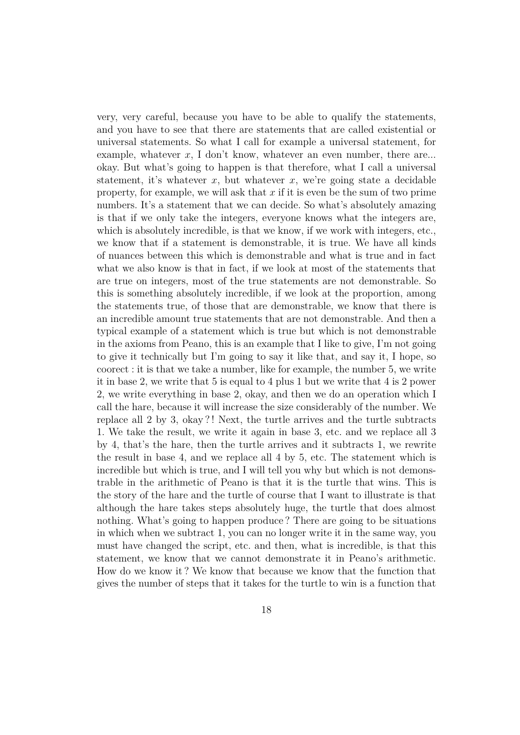very, very careful, because you have to be able to qualify the statements, and you have to see that there are statements that are called existential or universal statements. So what I call for example a universal statement, for example, whatever x, I don't know, whatever an even number, there are... okay. But what's going to happen is that therefore, what I call a universal statement, it's whatever  $x$ , but whatever  $x$ , we're going state a decidable property, for example, we will ask that *x* if it is even be the sum of two prime numbers. It's a statement that we can decide. So what's absolutely amazing is that if we only take the integers, everyone knows what the integers are, which is absolutely incredible, is that we know, if we work with integers, etc., we know that if a statement is demonstrable, it is true. We have all kinds of nuances between this which is demonstrable and what is true and in fact what we also know is that in fact, if we look at most of the statements that are true on integers, most of the true statements are not demonstrable. So this is something absolutely incredible, if we look at the proportion, among the statements true, of those that are demonstrable, we know that there is an incredible amount true statements that are not demonstrable. And then a typical example of a statement which is true but which is not demonstrable in the axioms from Peano, this is an example that I like to give, I'm not going to give it technically but I'm going to say it like that, and say it, I hope, so coorect : it is that we take a number, like for example, the number 5, we write it in base 2, we write that 5 is equal to 4 plus 1 but we write that 4 is 2 power 2, we write everything in base 2, okay, and then we do an operation which I call the hare, because it will increase the size considerably of the number. We replace all 2 by 3, okay ? ! Next, the turtle arrives and the turtle subtracts 1. We take the result, we write it again in base 3, etc. and we replace all 3 by 4, that's the hare, then the turtle arrives and it subtracts 1, we rewrite the result in base 4, and we replace all 4 by 5, etc. The statement which is incredible but which is true, and I will tell you why but which is not demonstrable in the arithmetic of Peano is that it is the turtle that wins. This is the story of the hare and the turtle of course that I want to illustrate is that although the hare takes steps absolutely huge, the turtle that does almost nothing. What's going to happen produce ? There are going to be situations in which when we subtract 1, you can no longer write it in the same way, you must have changed the script, etc. and then, what is incredible, is that this statement, we know that we cannot demonstrate it in Peano's arithmetic. How do we know it ? We know that because we know that the function that gives the number of steps that it takes for the turtle to win is a function that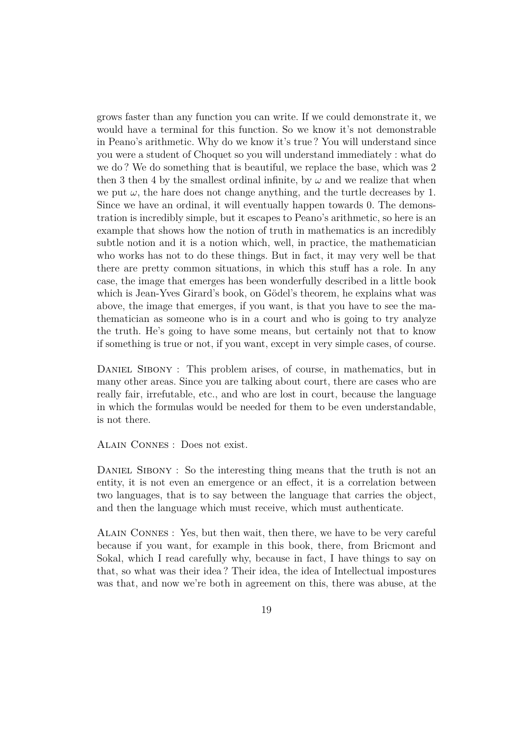grows faster than any function you can write. If we could demonstrate it, we would have a terminal for this function. So we know it's not demonstrable in Peano's arithmetic. Why do we know it's true ? You will understand since you were a student of Choquet so you will understand immediately : what do we do ? We do something that is beautiful, we replace the base, which was 2 then 3 then 4 by the smallest ordinal infinite, by  $\omega$  and we realize that when we put  $\omega$ , the hare does not change anything, and the turtle decreases by 1. Since we have an ordinal, it will eventually happen towards 0. The demonstration is incredibly simple, but it escapes to Peano's arithmetic, so here is an example that shows how the notion of truth in mathematics is an incredibly subtle notion and it is a notion which, well, in practice, the mathematician who works has not to do these things. But in fact, it may very well be that there are pretty common situations, in which this stuff has a role. In any case, the image that emerges has been wonderfully described in a little book which is Jean-Yves Girard's book, on Gödel's theorem, he explains what was above, the image that emerges, if you want, is that you have to see the mathematician as someone who is in a court and who is going to try analyze the truth. He's going to have some means, but certainly not that to know if something is true or not, if you want, except in very simple cases, of course.

DANIEL SIBONY : This problem arises, of course, in mathematics, but in many other areas. Since you are talking about court, there are cases who are really fair, irrefutable, etc., and who are lost in court, because the language in which the formulas would be needed for them to be even understandable, is not there.

Alain Connes : Does not exist.

DANIEL SIBONY : So the interesting thing means that the truth is not an entity, it is not even an emergence or an effect, it is a correlation between two languages, that is to say between the language that carries the object, and then the language which must receive, which must authenticate.

Alain Connes : Yes, but then wait, then there, we have to be very careful because if you want, for example in this book, there, from Bricmont and Sokal, which I read carefully why, because in fact, I have things to say on that, so what was their idea ? Their idea, the idea of Intellectual impostures was that, and now we're both in agreement on this, there was abuse, at the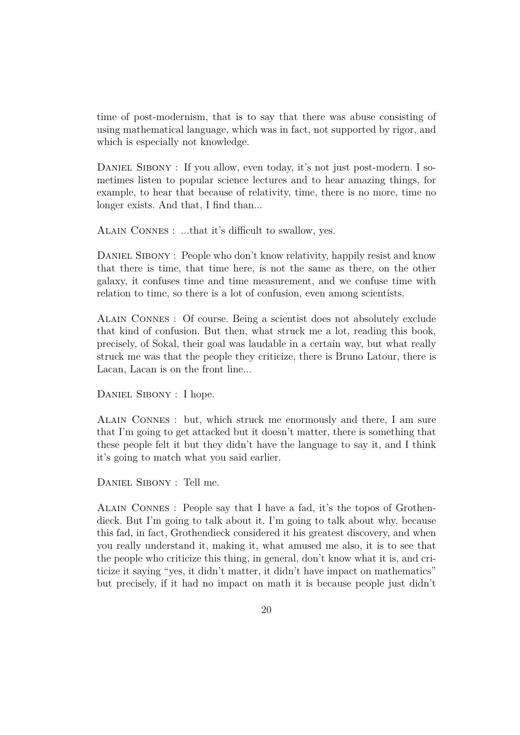time of post-modernism, that is to say that there was abuse consisting of using mathematical language, which was in fact, not supported by rigor, and which is especially not knowledge.

DANIEL SIBONY : If you allow, even today, it's not just post-modern. I sometimes listen to popular science lectures and to hear amazing things, for example, to hear that because of relativity, time, there is no more, time no longer exists. And that, I find than...

Alain Connes : ...that it's difficult to swallow, yes.

DANIEL SIBONY : People who don't know relativity, happily resist and know that there is time, that time here, is not the same as there, on the other galaxy, it confuses time and time measurement, and we confuse time with relation to time, so there is a lot of confusion, even among scientists.

Alain Connes : Of course. Being a scientist does not absolutely exclude that kind of confusion. But then, what struck me a lot, reading this book, precisely, of Sokal, their goal was laudable in a certain way, but what really struck me was that the people they criticize, there is Bruno Latour, there is Lacan, Lacan is on the front line...

DANIEL SIBONY : I hope.

Alain Connes : but, which struck me enormously and there, I am sure that I'm going to get attacked but it doesn't matter, there is something that these people felt it but they didn't have the language to say it, and I think it's going to match what you said earlier.

Daniel Sibony : Tell me.

Alain Connes : People say that I have a fad, it's the topos of Grothendieck. But I'm going to talk about it. I'm going to talk about why, because this fad, in fact, Grothendieck considered it his greatest discovery, and when you really understand it, making it, what amused me also, it is to see that the people who criticize this thing, in general, don't know what it is, and criticize it saying "yes, it didn't matter, it didn't have impact on mathematics" but precisely, if it had no impact on math it is because people just didn't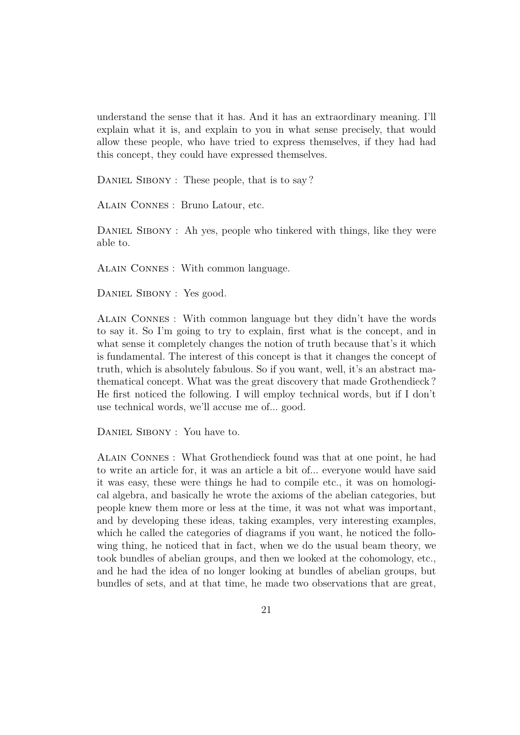understand the sense that it has. And it has an extraordinary meaning. I'll explain what it is, and explain to you in what sense precisely, that would allow these people, who have tried to express themselves, if they had had this concept, they could have expressed themselves.

DANIEL SIBONY : These people, that is to say?

Alain Connes : Bruno Latour, etc.

DANIEL SIBONY : Ah yes, people who tinkered with things, like they were able to.

Alain Connes : With common language.

DANIEL SIBONY : Yes good.

Alain Connes : With common language but they didn't have the words to say it. So I'm going to try to explain, first what is the concept, and in what sense it completely changes the notion of truth because that's it which is fundamental. The interest of this concept is that it changes the concept of truth, which is absolutely fabulous. So if you want, well, it's an abstract mathematical concept. What was the great discovery that made Grothendieck ? He first noticed the following. I will employ technical words, but if I don't use technical words, we'll accuse me of... good.

DANIEL SIBONY : You have to.

Alain Connes : What Grothendieck found was that at one point, he had to write an article for, it was an article a bit of... everyone would have said it was easy, these were things he had to compile etc., it was on homological algebra, and basically he wrote the axioms of the abelian categories, but people knew them more or less at the time, it was not what was important, and by developing these ideas, taking examples, very interesting examples, which he called the categories of diagrams if you want, he noticed the following thing, he noticed that in fact, when we do the usual beam theory, we took bundles of abelian groups, and then we looked at the cohomology, etc., and he had the idea of no longer looking at bundles of abelian groups, but bundles of sets, and at that time, he made two observations that are great,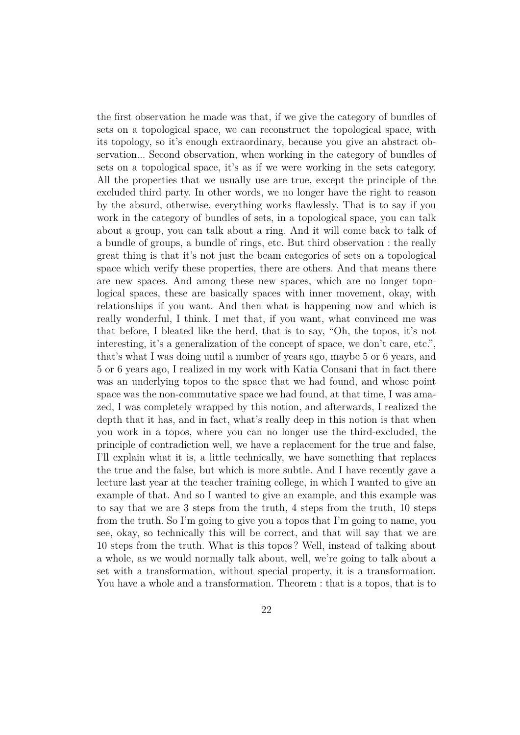the first observation he made was that, if we give the category of bundles of sets on a topological space, we can reconstruct the topological space, with its topology, so it's enough extraordinary, because you give an abstract observation... Second observation, when working in the category of bundles of sets on a topological space, it's as if we were working in the sets category. All the properties that we usually use are true, except the principle of the excluded third party. In other words, we no longer have the right to reason by the absurd, otherwise, everything works flawlessly. That is to say if you work in the category of bundles of sets, in a topological space, you can talk about a group, you can talk about a ring. And it will come back to talk of a bundle of groups, a bundle of rings, etc. But third observation : the really great thing is that it's not just the beam categories of sets on a topological space which verify these properties, there are others. And that means there are new spaces. And among these new spaces, which are no longer topological spaces, these are basically spaces with inner movement, okay, with relationships if you want. And then what is happening now and which is really wonderful, I think. I met that, if you want, what convinced me was that before, I bleated like the herd, that is to say, "Oh, the topos, it's not interesting, it's a generalization of the concept of space, we don't care, etc.", that's what I was doing until a number of years ago, maybe 5 or 6 years, and 5 or 6 years ago, I realized in my work with Katia Consani that in fact there was an underlying topos to the space that we had found, and whose point space was the non-commutative space we had found, at that time, I was amazed, I was completely wrapped by this notion, and afterwards, I realized the depth that it has, and in fact, what's really deep in this notion is that when you work in a topos, where you can no longer use the third-excluded, the principle of contradiction well, we have a replacement for the true and false, I'll explain what it is, a little technically, we have something that replaces the true and the false, but which is more subtle. And I have recently gave a lecture last year at the teacher training college, in which I wanted to give an example of that. And so I wanted to give an example, and this example was to say that we are 3 steps from the truth, 4 steps from the truth, 10 steps from the truth. So I'm going to give you a topos that I'm going to name, you see, okay, so technically this will be correct, and that will say that we are 10 steps from the truth. What is this topos ? Well, instead of talking about a whole, as we would normally talk about, well, we're going to talk about a set with a transformation, without special property, it is a transformation. You have a whole and a transformation. Theorem : that is a topos, that is to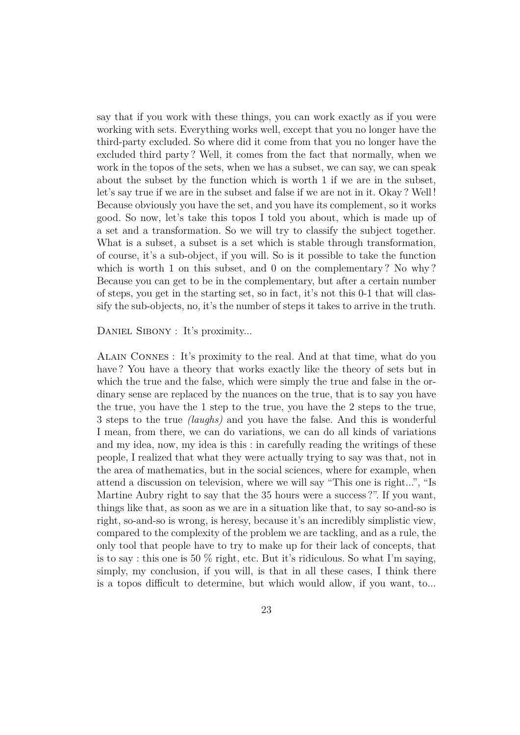say that if you work with these things, you can work exactly as if you were working with sets. Everything works well, except that you no longer have the third-party excluded. So where did it come from that you no longer have the excluded third party ? Well, it comes from the fact that normally, when we work in the topos of the sets, when we has a subset, we can say, we can speak about the subset by the function which is worth 1 if we are in the subset, let's say true if we are in the subset and false if we are not in it. Okay ? Well ! Because obviously you have the set, and you have its complement, so it works good. So now, let's take this topos I told you about, which is made up of a set and a transformation. So we will try to classify the subject together. What is a subset, a subset is a set which is stable through transformation, of course, it's a sub-object, if you will. So is it possible to take the function which is worth 1 on this subset, and 0 on the complementary? No why? Because you can get to be in the complementary, but after a certain number of steps, you get in the starting set, so in fact, it's not this 0-1 that will classify the sub-objects, no, it's the number of steps it takes to arrive in the truth.

DANIEL SIBONY : It's proximity...

Alain Connes : It's proximity to the real. And at that time, what do you have ? You have a theory that works exactly like the theory of sets but in which the true and the false, which were simply the true and false in the ordinary sense are replaced by the nuances on the true, that is to say you have the true, you have the 1 step to the true, you have the 2 steps to the true, 3 steps to the true *(laughs)* and you have the false. And this is wonderful I mean, from there, we can do variations, we can do all kinds of variations and my idea, now, my idea is this : in carefully reading the writings of these people, I realized that what they were actually trying to say was that, not in the area of mathematics, but in the social sciences, where for example, when attend a discussion on television, where we will say "This one is right...", "Is Martine Aubry right to say that the 35 hours were a success ?". If you want, things like that, as soon as we are in a situation like that, to say so-and-so is right, so-and-so is wrong, is heresy, because it's an incredibly simplistic view, compared to the complexity of the problem we are tackling, and as a rule, the only tool that people have to try to make up for their lack of concepts, that is to say : this one is 50  $\%$  right, etc. But it's ridiculous. So what I'm saying, simply, my conclusion, if you will, is that in all these cases, I think there is a topos difficult to determine, but which would allow, if you want, to...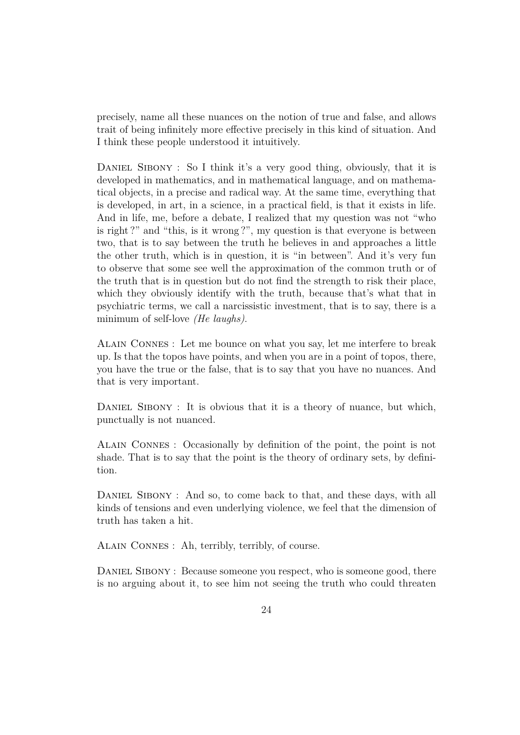precisely, name all these nuances on the notion of true and false, and allows trait of being infinitely more effective precisely in this kind of situation. And I think these people understood it intuitively.

DANIEL SIBONY : So I think it's a very good thing, obviously, that it is developed in mathematics, and in mathematical language, and on mathematical objects, in a precise and radical way. At the same time, everything that is developed, in art, in a science, in a practical field, is that it exists in life. And in life, me, before a debate, I realized that my question was not "who is right ?" and "this, is it wrong ?", my question is that everyone is between two, that is to say between the truth he believes in and approaches a little the other truth, which is in question, it is "in between". And it's very fun to observe that some see well the approximation of the common truth or of the truth that is in question but do not find the strength to risk their place, which they obviously identify with the truth, because that's what that in psychiatric terms, we call a narcissistic investment, that is to say, there is a minimum of self-love *(He laughs)*.

Alain Connes : Let me bounce on what you say, let me interfere to break up. Is that the topos have points, and when you are in a point of topos, there, you have the true or the false, that is to say that you have no nuances. And that is very important.

DANIEL SIBONY : It is obvious that it is a theory of nuance, but which, punctually is not nuanced.

Alain Connes : Occasionally by definition of the point, the point is not shade. That is to say that the point is the theory of ordinary sets, by definition.

DANIEL SIBONY : And so, to come back to that, and these days, with all kinds of tensions and even underlying violence, we feel that the dimension of truth has taken a hit.

Alain Connes : Ah, terribly, terribly, of course.

DANIEL SIBONY : Because someone you respect, who is someone good, there is no arguing about it, to see him not seeing the truth who could threaten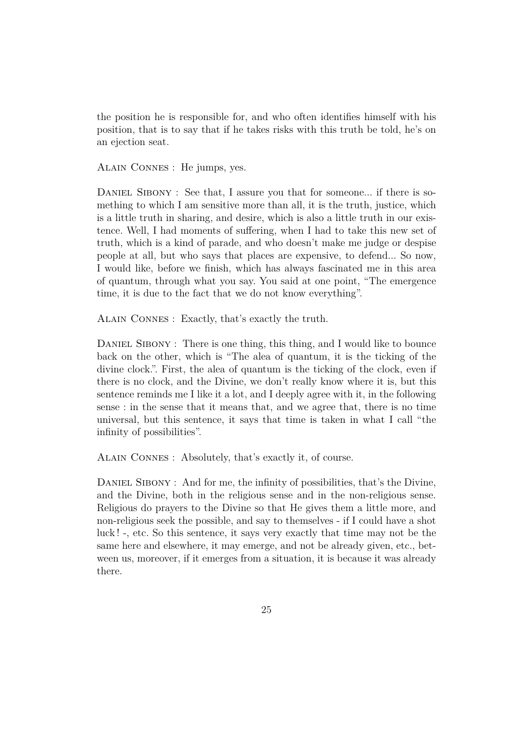the position he is responsible for, and who often identifies himself with his position, that is to say that if he takes risks with this truth be told, he's on an ejection seat.

Alain Connes : He jumps, yes.

DANIEL SIBONY : See that, I assure you that for someone... if there is something to which I am sensitive more than all, it is the truth, justice, which is a little truth in sharing, and desire, which is also a little truth in our existence. Well, I had moments of suffering, when I had to take this new set of truth, which is a kind of parade, and who doesn't make me judge or despise people at all, but who says that places are expensive, to defend... So now, I would like, before we finish, which has always fascinated me in this area of quantum, through what you say. You said at one point, "The emergence time, it is due to the fact that we do not know everything".

Alain Connes : Exactly, that's exactly the truth.

DANIEL SIBONY : There is one thing, this thing, and I would like to bounce back on the other, which is "The alea of quantum, it is the ticking of the divine clock.". First, the alea of quantum is the ticking of the clock, even if there is no clock, and the Divine, we don't really know where it is, but this sentence reminds me I like it a lot, and I deeply agree with it, in the following sense : in the sense that it means that, and we agree that, there is no time universal, but this sentence, it says that time is taken in what I call "the infinity of possibilities".

Alain Connes : Absolutely, that's exactly it, of course.

DANIEL SIBONY : And for me, the infinity of possibilities, that's the Divine, and the Divine, both in the religious sense and in the non-religious sense. Religious do prayers to the Divine so that He gives them a little more, and non-religious seek the possible, and say to themselves - if I could have a shot luck ! -, etc. So this sentence, it says very exactly that time may not be the same here and elsewhere, it may emerge, and not be already given, etc., between us, moreover, if it emerges from a situation, it is because it was already there.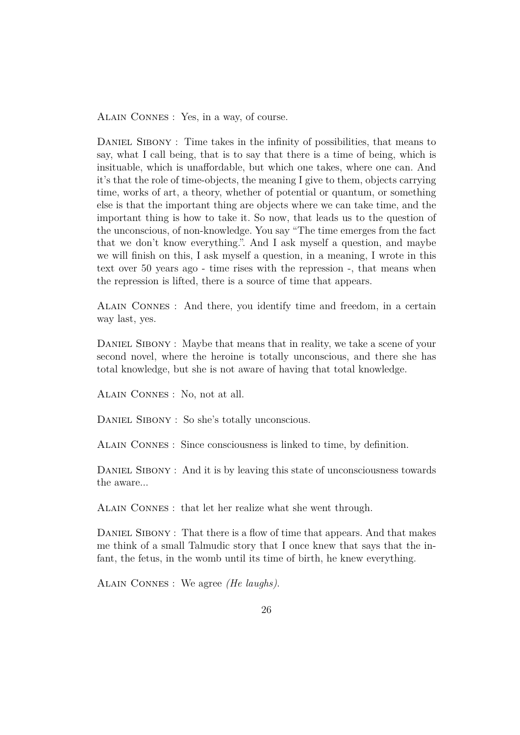Alain Connes : Yes, in a way, of course.

DANIEL SIBONY : Time takes in the infinity of possibilities, that means to say, what I call being, that is to say that there is a time of being, which is insituable, which is unaffordable, but which one takes, where one can. And it's that the role of time-objects, the meaning I give to them, objects carrying time, works of art, a theory, whether of potential or quantum, or something else is that the important thing are objects where we can take time, and the important thing is how to take it. So now, that leads us to the question of the unconscious, of non-knowledge. You say "The time emerges from the fact that we don't know everything.". And I ask myself a question, and maybe we will finish on this, I ask myself a question, in a meaning, I wrote in this text over 50 years ago - time rises with the repression -, that means when the repression is lifted, there is a source of time that appears.

Alain Connes : And there, you identify time and freedom, in a certain way last, yes.

DANIEL SIBONY : Maybe that means that in reality, we take a scene of your second novel, where the heroine is totally unconscious, and there she has total knowledge, but she is not aware of having that total knowledge.

Alain Connes : No, not at all.

DANIEL SIBONY : So she's totally unconscious.

Alain Connes : Since consciousness is linked to time, by definition.

DANIEL SIBONY : And it is by leaving this state of unconsciousness towards the aware...

Alain Connes : that let her realize what she went through.

DANIEL SIBONY : That there is a flow of time that appears. And that makes me think of a small Talmudic story that I once knew that says that the infant, the fetus, in the womb until its time of birth, he knew everything.

Alain Connes : We agree *(He laughs)*.